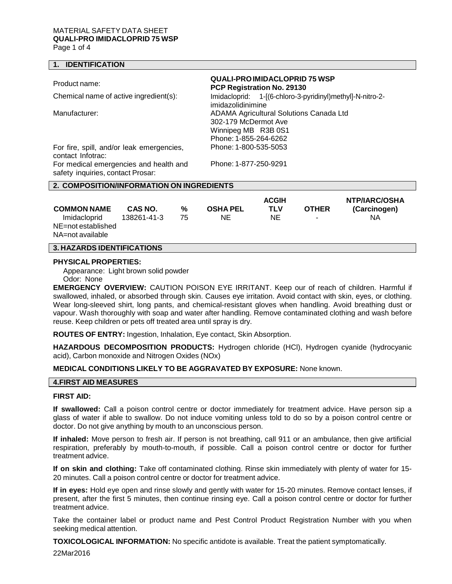# MATERIAL SAFETY DATA SHEET **QUALI-PRO IMIDACLOPRID 75 WSP**

Page 1 of 4

## **1. IDENTIFICATION**

| Product name:                                                               | <b>QUALI-PRO IMIDACLOPRID 75 WSP</b><br>PCP Registration No. 29130                                                     |  |  |  |  |
|-----------------------------------------------------------------------------|------------------------------------------------------------------------------------------------------------------------|--|--|--|--|
| Chemical name of active ingredient(s):                                      | Imidacloprid: 1-[(6-chloro-3-pyridinyl)methyl]-N-nitro-2-<br>imidazolidinimine                                         |  |  |  |  |
| Manufacturer:                                                               | <b>ADAMA Agricultural Solutions Canada Ltd</b><br>302-179 McDermot Ave<br>Winnipeg MB R3B 0S1<br>Phone: 1-855-264-6262 |  |  |  |  |
| For fire, spill, and/or leak emergencies,<br>contact Infotrac:              | Phone: 1-800-535-5053                                                                                                  |  |  |  |  |
| For medical emergencies and health and<br>safety inquiries, contact Prosar: | Phone: 1-877-250-9291                                                                                                  |  |  |  |  |
| 2. COMPOSITION/INFORMATION ON INGREDIENTS                                   |                                                                                                                        |  |  |  |  |

| <b>COMMON NAME</b>                                     | CAS NO.     | %  | <b>OSHA PEL</b> | <b>ACGIH</b><br>TLV | <b>OTHER</b> | NTP/IARC/OSHA<br>(Carcinogen) |
|--------------------------------------------------------|-------------|----|-----------------|---------------------|--------------|-------------------------------|
| Imidacloprid<br>NE=not established<br>NA=not available | 138261-41-3 | 75 | NE              | NΕ                  | $\sim$       | ΝA                            |

# **3. HAZARDS IDENTIFICATIONS**

#### **PHYSICAL PROPERTIES:**

Appearance: Light brown solid powder

Odor: None

**EMERGENCY OVERVIEW:** CAUTION POISON EYE IRRITANT. Keep our of reach of children. Harmful if swallowed, inhaled, or absorbed through skin. Causes eye irritation. Avoid contact with skin, eyes, or clothing. Wear long-sleeved shirt, long pants, and chemical-resistant gloves when handling. Avoid breathing dust or vapour. Wash thoroughly with soap and water after handling. Remove contaminated clothing and wash before reuse. Keep children or pets off treated area until spray is dry.

**ROUTES OF ENTRY:** Ingestion, Inhalation, Eye contact, Skin Absorption.

**HAZARDOUS DECOMPOSITION PRODUCTS:** Hydrogen chloride (HCl), Hydrogen cyanide (hydrocyanic acid), Carbon monoxide and Nitrogen Oxides (NOx)

# **MEDICAL CONDITIONS LIKELY TO BE AGGRAVATED BY EXPOSURE:** None known.

# **4.FIRST AID MEASURES**

#### **FIRST AID:**

**If swallowed:** Call a poison control centre or doctor immediately for treatment advice. Have person sip a glass of water if able to swallow. Do not induce vomiting unless told to do so by a poison control centre or doctor. Do not give anything by mouth to an unconscious person.

**If inhaled:** Move person to fresh air. If person is not breathing, call 911 or an ambulance, then give artificial respiration, preferably by mouth-to-mouth, if possible. Call a poison control centre or doctor for further treatment advice.

**If on skin and clothing:** Take off contaminated clothing. Rinse skin immediately with plenty of water for 15- 20 minutes. Call a poison control centre or doctor for treatment advice.

**If in eyes:** Hold eye open and rinse slowly and gently with water for 15-20 minutes. Remove contact lenses, if present, after the first 5 minutes, then continue rinsing eye. Call a poison control centre or doctor for further treatment advice.

Take the container label or product name and Pest Control Product Registration Number with you when seeking medical attention.

**TOXICOLOGICAL INFORMATION:** No specific antidote is available. Treat the patient symptomatically.

22Mar2016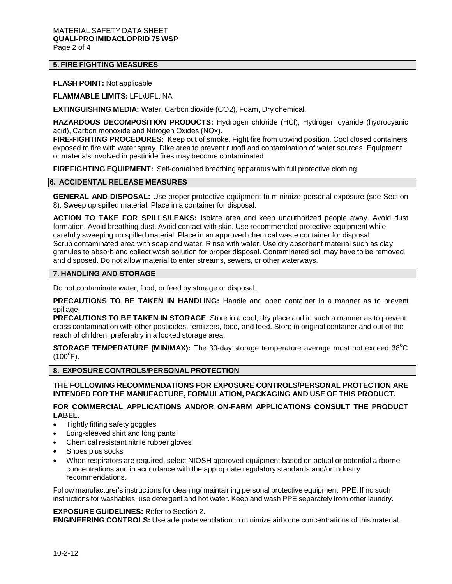#### MATERIAL SAFETY DATA SHEET **QUALI-PRO IMIDACLOPRID 75 WSP** Page 2 of 4

# **5. FIRE FIGHTING MEASURES**

#### **FLASH POINT:** Not applicable

**FLAMMABLE LIMITS:** LFL\UFL: NA

**EXTINGUISHING MEDIA:** Water, Carbon dioxide (CO2), Foam, Dry chemical.

**HAZARDOUS DECOMPOSITION PRODUCTS:** Hydrogen chloride (HCl), Hydrogen cyanide (hydrocyanic acid), Carbon monoxide and Nitrogen Oxides (NOx).

**FIRE-FIGHTING PROCEDURES:** Keep out of smoke. Fight fire from upwind position. Cool closed containers exposed to fire with water spray. Dike area to prevent runoff and contamination of water sources. Equipment or materials involved in pesticide fires may become contaminated.

**FIREFIGHTING EQUIPMENT:** Self-contained breathing apparatus with full protective clothing.

# **6. ACCIDENTAL RELEASE MEASURES**

**GENERAL AND DISPOSAL:** Use proper protective equipment to minimize personal exposure (see Section 8). Sweep up spilled material. Place in a container for disposal.

**ACTION TO TAKE FOR SPILLS/LEAKS:** Isolate area and keep unauthorized people away. Avoid dust formation. Avoid breathing dust. Avoid contact with skin. Use recommended protective equipment while carefully sweeping up spilled material. Place in an approved chemical waste container for disposal. Scrub contaminated area with soap and water. Rinse with water. Use dry absorbent material such as clay granules to absorb and collect wash solution for proper disposal. Contaminated soil may have to be removed and disposed. Do not allow material to enter streams, sewers, or other waterways.

## **7. HANDLING AND STORAGE**

Do not contaminate water, food, or feed by storage or disposal.

**PRECAUTIONS TO BE TAKEN IN HANDLING:** Handle and open container in a manner as to prevent spillage.

**PRECAUTIONS TO BE TAKEN IN STORAGE**: Store in a cool, dry place and in such a manner as to prevent cross contamination with other pesticides, fertilizers, food, and feed. Store in original container and out of the reach of children, preferably in a locked storage area.

**STORAGE TEMPERATURE (MIN/MAX):** The 30-day storage temperature average must not exceed 38°C  $(100^{\circ}F).$ 

#### **8. EXPOSURE CONTROLS/PERSONAL PROTECTION**

**THE FOLLOWING RECOMMENDATIONS FOR EXPOSURE CONTROLS/PERSONAL PROTECTION ARE INTENDED FOR THE MANUFACTURE, FORMULATION, PACKAGING AND USE OF THIS PRODUCT.**

# **FOR COMMERCIAL APPLICATIONS AND/OR ON-FARM APPLICATIONS CONSULT THE PRODUCT LABEL.**

- Tightly fitting safety goggles
- Long-sleeved shirt and long pants
- Chemical resistant nitrile rubber gloves
- Shoes plus socks
- When respirators are required, select NIOSH approved equipment based on actual or potential airborne concentrations and in accordance with the appropriate regulatory standards and/or industry recommendations.

Follow manufacturer's instructions for cleaning/ maintaining personal protective equipment, PPE. If no such instructions for washables, use detergent and hot water. Keep and wash PPE separately from other laundry.

#### **EXPOSURE GUIDELINES:** Refer to Section 2.

**ENGINEERING CONTROLS:** Use adequate ventilation to minimize airborne concentrations of this material.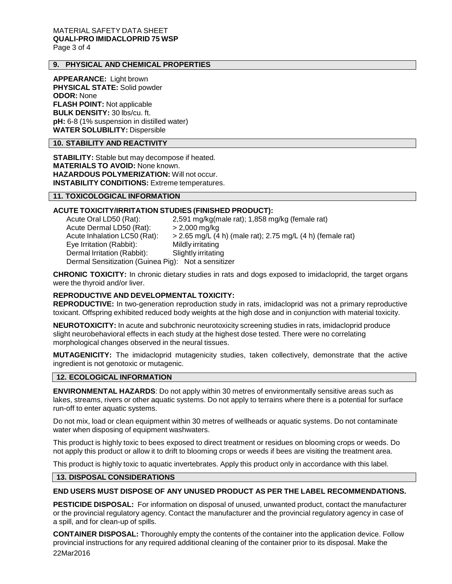#### MATERIAL SAFETY DATA SHEET **QUALI-PRO IMIDACLOPRID 75 WSP** Page 3 of 4

# **9. PHYSICAL AND CHEMICAL PROPERTIES**

**APPEARANCE:** Light brown **PHYSICAL STATE:** Solid powder **ODOR:** None **FLASH POINT:** Not applicable **BULK DENSITY:** 30 lbs/cu. ft. **pH:** 6-8 (1% suspension in distilled water) **WATER SOLUBILITY:** Dispersible

## **10. STABILITY AND REACTIVITY**

**STABILITY:** Stable but may decompose if heated. **MATERIALS TO AVOID:** None known. **HAZARDOUS POLYMERIZATION:** Will not occur. **INSTABILITY CONDITIONS:** Extreme temperatures.

# **11. TOXICOLOGICAL INFORMATION**

# **ACUTE TOXICITY/IRRITATION STUDIES (FINISHED PRODUCT):**

Acute Oral LD50 (Rat): 2,591 mg/kg(male rat); 1,858 mg/kg (female rat) Acute Dermal LD50 (Rat):  $> 2,000$  mg/kg Acute Inhalation LC50 (Rat):  $>2.65$  mg/L (4 h) (male rat); 2.75 mg/L (4 h) (female rat) Eye Irritation (Rabbit): Mildly irritating Dermal Irritation (Rabbit): Slightly irritating Dermal Sensitization (Guinea Pig): Not a sensitizer

**CHRONIC TOXICITY:** In chronic dietary studies in rats and dogs exposed to imidacloprid, the target organs were the thyroid and/or liver.

# **REPRODUCTIVE AND DEVELOPMENTAL TOXICITY:**

**REPRODUCTIVE:** In two-generation reproduction study in rats, imidacloprid was not a primary reproductive toxicant. Offspring exhibited reduced body weights at the high dose and in conjunction with material toxicity.

**NEUROTOXICITY:** In acute and subchronic neurotoxicity screening studies in rats, imidacloprid produce slight neurobehavioral effects in each study at the highest dose tested. There were no correlating morphological changes observed in the neural tissues.

**MUTAGENICITY:** The imidacloprid mutagenicity studies, taken collectively, demonstrate that the active ingredient is not genotoxic or mutagenic.

# **12. ECOLOGICAL INFORMATION**

**ENVIRONMENTAL HAZARDS**: Do not apply within 30 metres of environmentally sensitive areas such as lakes, streams, rivers or other aquatic systems. Do not apply to terrains where there is a potential for surface run-off to enter aquatic systems.

Do not mix, load or clean equipment within 30 metres of wellheads or aquatic systems. Do not contaminate water when disposing of equipment washwaters.

This product is highly toxic to bees exposed to direct treatment or residues on blooming crops or weeds. Do not apply this product or allow it to drift to blooming crops or weeds if bees are visiting the treatment area.

This product is highly toxic to aquatic invertebrates. Apply this product only in accordance with this label.

#### **13. DISPOSAL CONSIDERATIONS**

## **END USERS MUST DISPOSE OF ANY UNUSED PRODUCT AS PER THE LABEL RECOMMENDATIONS.**

**PESTICIDE DISPOSAL:** For information on disposal of unused, unwanted product, contact the manufacturer or the provincial regulatory agency. Contact the manufacturer and the provincial regulatory agency in case of a spill, and for clean-up of spills.

22Mar2016 **CONTAINER DISPOSAL:** Thoroughly empty the contents of the container into the application device. Follow provincial instructions for any required additional cleaning of the container prior to its disposal. Make the